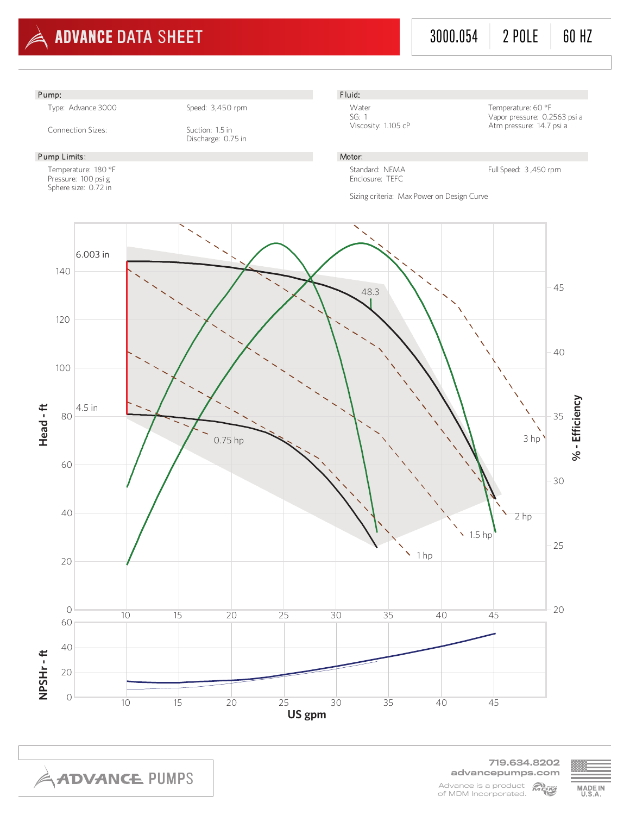

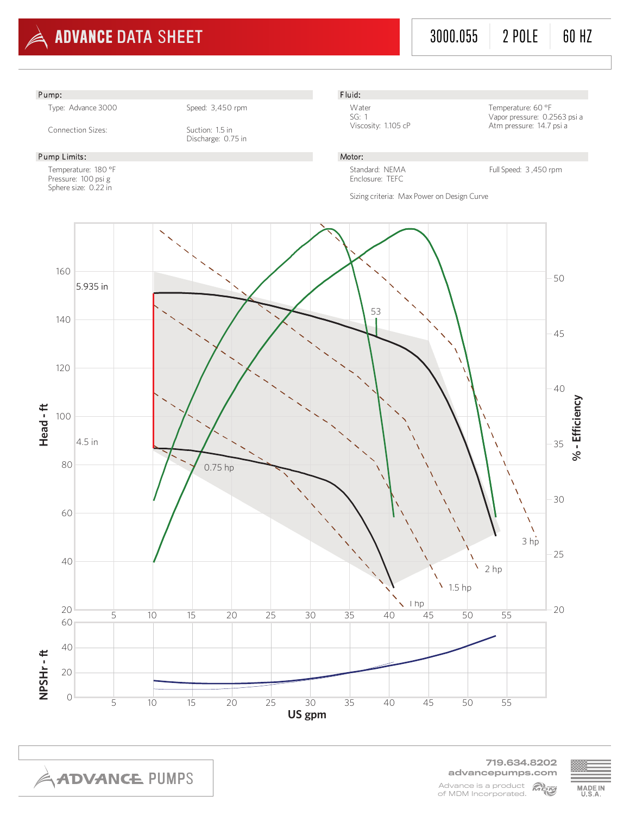

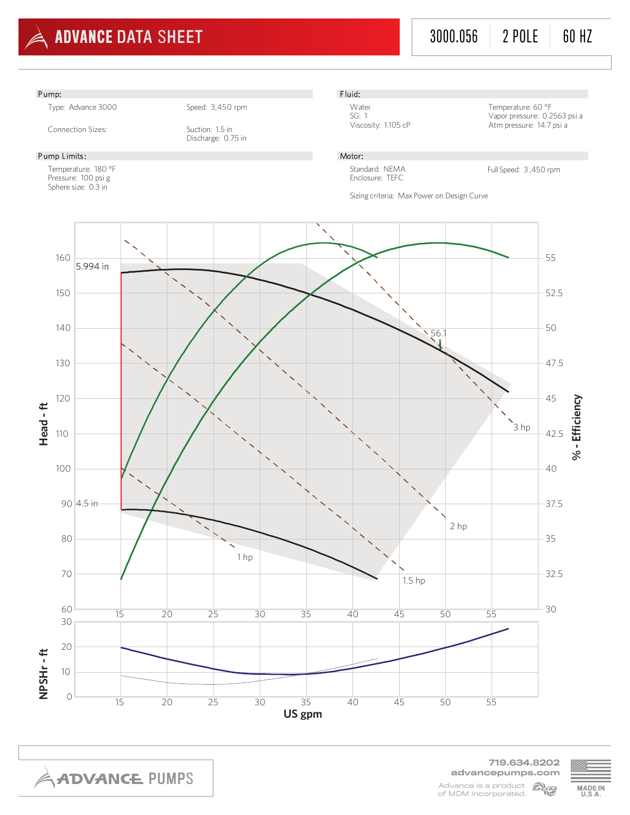

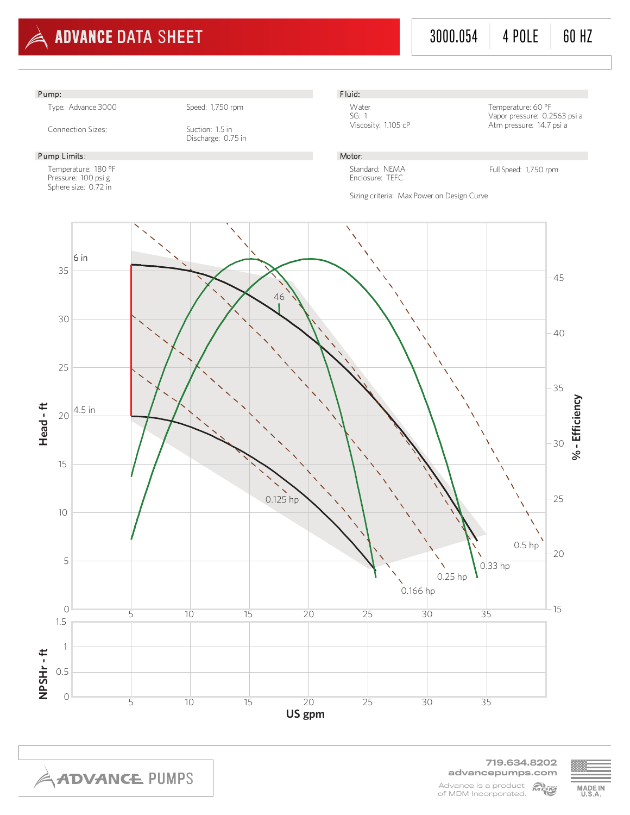

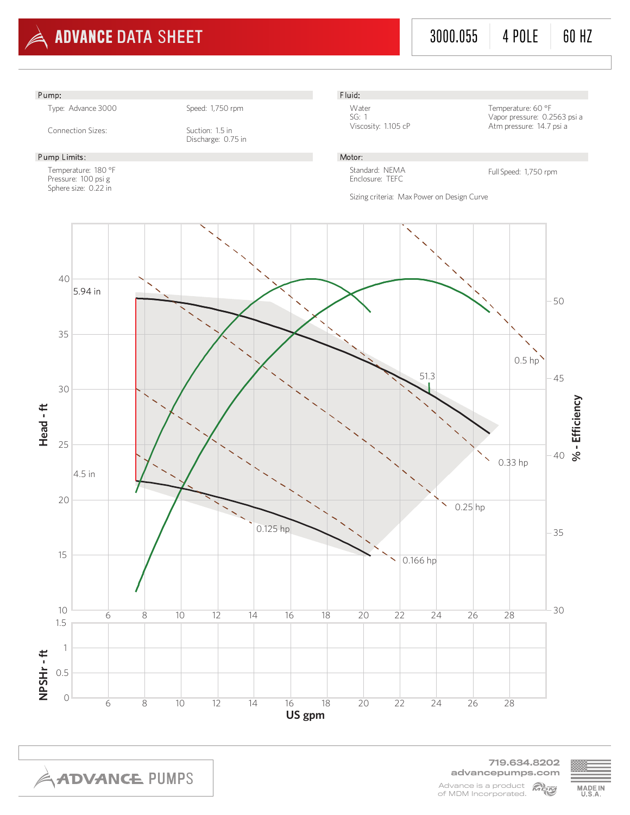